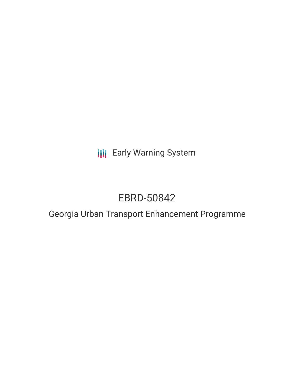**III** Early Warning System

# EBRD-50842

## Georgia Urban Transport Enhancement Programme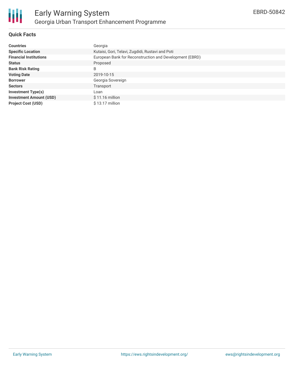

### **Quick Facts**

| <b>Countries</b>               | Georgia                                                 |
|--------------------------------|---------------------------------------------------------|
| <b>Specific Location</b>       | Kutaisi, Gori, Telavi, Zugdidi, Rustavi and Poti        |
| <b>Financial Institutions</b>  | European Bank for Reconstruction and Development (EBRD) |
| <b>Status</b>                  | Proposed                                                |
| <b>Bank Risk Rating</b>        | B                                                       |
| <b>Voting Date</b>             | 2019-10-15                                              |
| <b>Borrower</b>                | Georgia Sovereign                                       |
| <b>Sectors</b>                 | Transport                                               |
| <b>Investment Type(s)</b>      | Loan                                                    |
| <b>Investment Amount (USD)</b> | $$11.16$ million                                        |
| <b>Project Cost (USD)</b>      | $$13.17$ million                                        |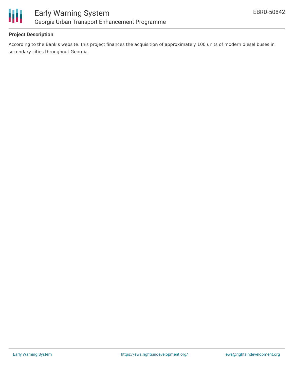

### **Project Description**

According to the Bank's website, this project finances the acquisition of approximately 100 units of modern diesel buses in secondary cities throughout Georgia.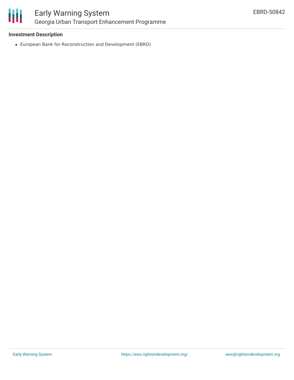

### Early Warning System Georgia Urban Transport Enhancement Programme

### **Investment Description**

European Bank for Reconstruction and Development (EBRD)